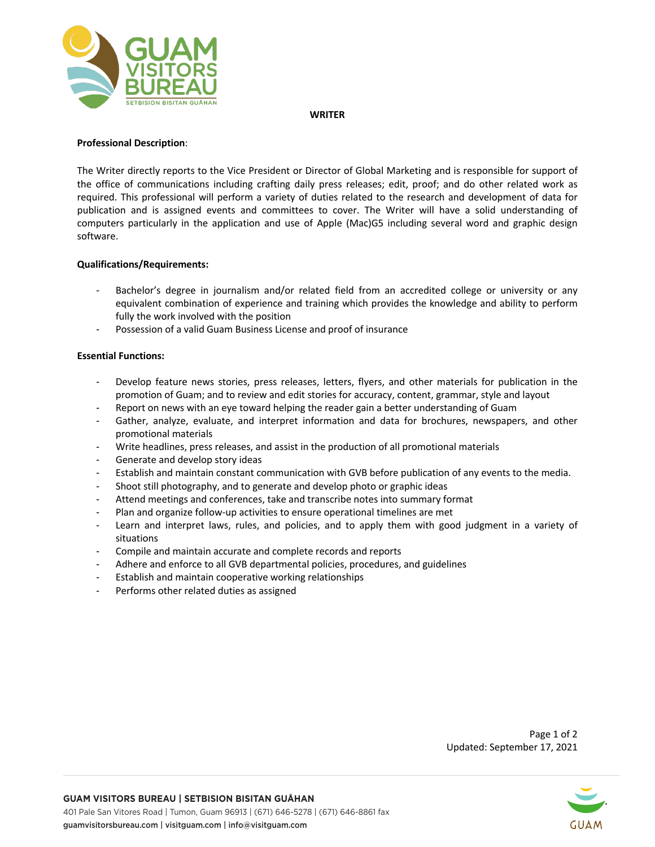

#### **WRITER**

## **Professional Description**:

The Writer directly reports to the Vice President or Director of Global Marketing and is responsible for support of the office of communications including crafting daily press releases; edit, proof; and do other related work as required. This professional will perform a variety of duties related to the research and development of data for publication and is assigned events and committees to cover. The Writer will have a solid understanding of computers particularly in the application and use of Apple (Mac)G5 including several word and graphic design software.

## **Qualifications/Requirements:**

- Bachelor's degree in journalism and/or related field from an accredited college or university or any equivalent combination of experience and training which provides the knowledge and ability to perform fully the work involved with the position
- Possession of a valid Guam Business License and proof of insurance

## **Essential Functions:**

- Develop feature news stories, press releases, letters, flyers, and other materials for publication in the promotion of Guam; and to review and edit stories for accuracy, content, grammar, style and layout
- Report on news with an eye toward helping the reader gain a better understanding of Guam
- Gather, analyze, evaluate, and interpret information and data for brochures, newspapers, and other promotional materials
- Write headlines, press releases, and assist in the production of all promotional materials
- Generate and develop story ideas
- Establish and maintain constant communication with GVB before publication of any events to the media.
- Shoot still photography, and to generate and develop photo or graphic ideas
- Attend meetings and conferences, take and transcribe notes into summary format
- Plan and organize follow-up activities to ensure operational timelines are met
- Learn and interpret laws, rules, and policies, and to apply them with good judgment in a variety of situations
- Compile and maintain accurate and complete records and reports
- Adhere and enforce to all GVB departmental policies, procedures, and guidelines
- Establish and maintain cooperative working relationships
- Performs other related duties as assigned